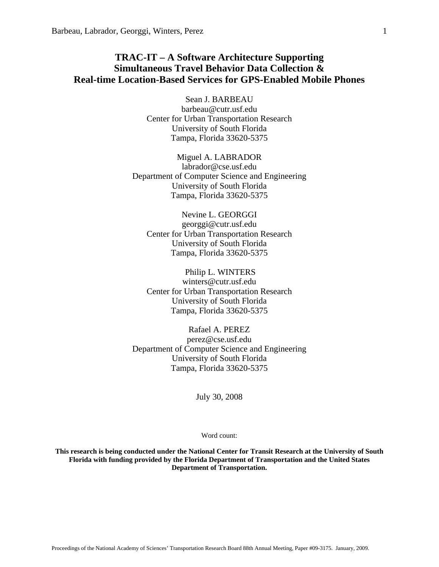# **TRAC-IT – A Software Architecture Supporting Simultaneous Travel Behavior Data Collection & Real-time Location-Based Services for GPS-Enabled Mobile Phones**

Sean J. BARBEAU barbeau@cutr.usf.edu Center for Urban Transportation Research University of South Florida Tampa, Florida 33620-5375

Miguel A. LABRADOR labrador@cse.usf.edu Department of Computer Science and Engineering University of South Florida Tampa, Florida 33620-5375

Nevine L. GEORGGI georggi@cutr.usf.edu Center for Urban Transportation Research University of South Florida Tampa, Florida 33620-5375

 Philip L. WINTERS winters@cutr.usf.edu Center for Urban Transportation Research University of South Florida Tampa, Florida 33620-5375

Rafael A. PEREZ perez@cse.usf.edu Department of Computer Science and Engineering University of South Florida Tampa, Florida 33620-5375

July 30, 2008

Word count:

**This research is being conducted under the National Center for Transit Research at the University of South Florida with funding provided by the Florida Department of Transportation and the United States Department of Transportation.**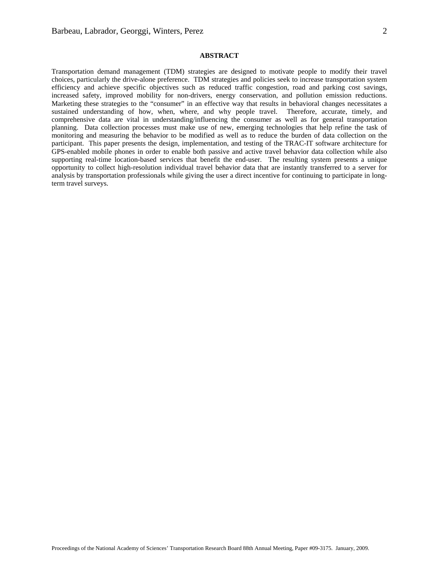## **ABSTRACT**

Transportation demand management (TDM) strategies are designed to motivate people to modify their travel choices, particularly the drive-alone preference. TDM strategies and policies seek to increase transportation system efficiency and achieve specific objectives such as reduced traffic congestion, road and parking cost savings, increased safety, improved mobility for non-drivers, energy conservation, and pollution emission reductions. Marketing these strategies to the "consumer" in an effective way that results in behavioral changes necessitates a sustained understanding of how, when, where, and why people travel. Therefore, accurate, timely, and comprehensive data are vital in understanding/influencing the consumer as well as for general transportation planning. Data collection processes must make use of new, emerging technologies that help refine the task of monitoring and measuring the behavior to be modified as well as to reduce the burden of data collection on the participant. This paper presents the design, implementation, and testing of the TRAC-IT software architecture for GPS-enabled mobile phones in order to enable both passive and active travel behavior data collection while also supporting real-time location-based services that benefit the end-user. The resulting system presents a unique opportunity to collect high-resolution individual travel behavior data that are instantly transferred to a server for analysis by transportation professionals while giving the user a direct incentive for continuing to participate in longterm travel surveys.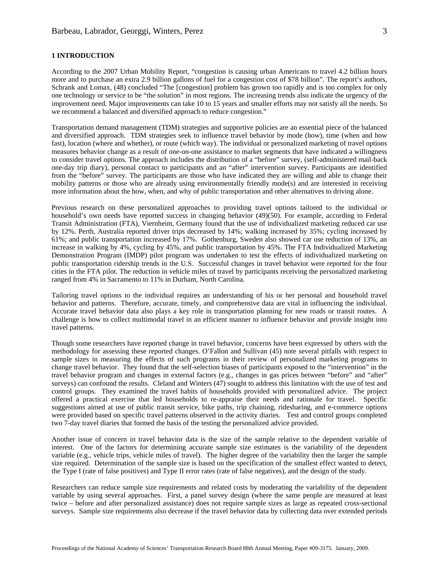According to the 2007 Urban Mobility Report, "congestion is causing urban Americans to travel 4.2 billion hours more and to purchase an extra 2.9 billion gallons of fuel for a congestion cost of \$78 billion". The report's authors, Schrank and Lomax, (48) concluded "The [congestion] problem has grown too rapidly and is too complex for only one technology or service to be "the solution" in most regions. The increasing trends also indicate the urgency of the improvement need. Major improvements can take 10 to 15 years and smaller efforts may not satisfy all the needs. So we recommend a balanced and diversified approach to reduce congestion."

Transportation demand management (TDM) strategies and supportive policies are an essential piece of the balanced and diversified approach. TDM strategies seek to influence travel behavior by mode (how), time (when and how fast), location (where and whether), or route (which way). The individual or personalized marketing of travel options measures behavior change as a result of one-on-one assistance to market segments that have indicated a willingness to consider travel options. The approach includes the distribution of a "before" survey, (self-administered mail-back one-day trip diary), personal contact to participants and an "after" intervention survey. Participants are identified from the "before" survey. The participants are those who have indicated they are willing and able to change their mobility patterns or those who are already using environmentally friendly mode(s) and are interested in receiving more information about the how, when, and why of public transportation and other alternatives to driving alone.

Previous research on these personalized approaches to providing travel options tailored to the individual or household's own needs have reported success in changing behavior (49)(50). For example, according to Federal Transit Administration (FTA), Viernheim, Germany found that the use of individualized marketing reduced car use by 12%. Perth, Australia reported driver trips decreased by 14%; walking increased by 35%; cycling increased by 61%; and public transportation increased by 17%. Gothenburg, Sweden also showed car use reduction of 13%, an increase in walking by 4%, cycling by 45%, and public transportation by 45%. The FTA Individualized Marketing Demonstration Program (IMDP) pilot program was undertaken to test the effects of individualized marketing on public transportation ridership trends in the U.S. Successful changes in travel behavior were reported for the four cities in the FTA pilot. The reduction in vehicle miles of travel by participants receiving the personalized marketing ranged from 4% in Sacramento to 11% in Durham, North Carolina.

Tailoring travel options to the individual requires an understanding of his or her personal and household travel behavior and patterns. Therefore, accurate, timely, and comprehensive data are vital in influencing the individual. Accurate travel behavior data also plays a key role in transportation planning for new roads or transit routes. A challenge is how to collect multimodal travel in an efficient manner to influence behavior and provide insight into travel patterns.

Though some researchers have reported change in travel behavior, concerns have been expressed by others with the methodology for assessing these reported changes. O'Fallon and Sullivan (45) note several pitfalls with respect to sample sizes in measuring the effects of such programs in their review of personalized marketing programs to change travel behavior. They found that the self-selection biases of participants exposed to the "intervention" in the travel behavior program and changes in external factors (e.g., changes in gas prices between "before" and "after" surveys) can confound the results. Cleland and Winters (47) sought to address this limitation with the use of test and control groups. They examined the travel habits of households provided with personalized advice. The project offered a practical exercise that led households to re-appraise their needs and rationale for travel. Specific suggestions aimed at use of public transit service, bike paths, trip chaining, ridesharing, and e-commerce options were provided based on specific travel patterns observed in the activity diaries. Test and control groups completed two 7-day travel diaries that formed the basis of the testing the personalized advice provided.

Another issue of concern in travel behavior data is the size of the sample relative to the dependent variable of interest. One of the factors for determining accurate sample size estimates is the variability of the dependent variable (e.g., vehicle trips, vehicle miles of travel). The higher degree of the variability then the larger the sample size required. Determination of the sample size is based on the specification of the smallest effect wanted to detect, the Type I (rate of false positives) and Type II error rates (rate of false negatives), and the design of the study.

Researchers can reduce sample size requirements and related costs by moderating the variability of the dependent variable by using several approaches. First, a panel survey design (where the same people are measured at least twice – before and after personalized assistance) does not require sample sizes as large as repeated cross-sectional surveys. Sample size requirements also decrease if the travel behavior data by collecting data over extended periods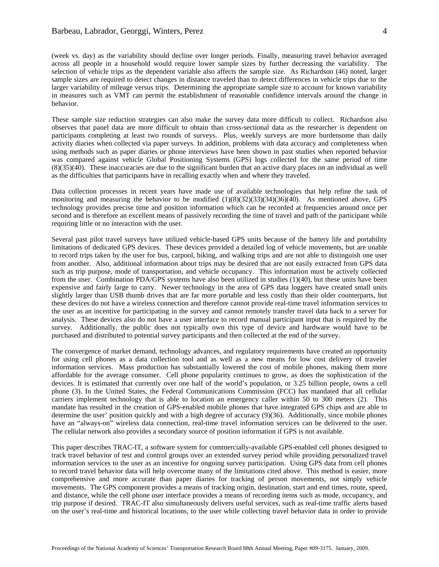(week vs. day) as the variability should decline over longer periods. Finally, measuring travel behavior averaged across all people in a household would require lower sample sizes by further decreasing the variability. The selection of vehicle trips as the dependent variable also affects the sample size. As Richardson (46) noted, larger sample sizes are required to detect changes in distance traveled than to detect differences in vehicle trips due to the larger variability of mileage versus trips. Determining the appropriate sample size to account for known variability in measures such as VMT can permit the establishment of reasonable confidence intervals around the change in behavior.

These sample size reduction strategies can also make the survey data more difficult to collect. Richardson also observes that panel data are more difficult to obtain than cross-sectional data as the researcher is dependent on participants completing at least two rounds of surveys. Plus, weekly surveys are more burdensome than daily activity diaries when collected via paper surveys. In addition, problems with data accuracy and completeness when using methods such as paper diaries or phone interviews have been shown in past studies when reported behavior was compared against vehicle Global Positioning Systems (GPS) logs collected for the same period of time (8)(35)(40). These inaccuracies are due to the significant burden that an active diary places on an individual as well as the difficulties that participants have in recalling exactly when and where they traveled.

Data collection processes in recent years have made use of available technologies that help refine the task of monitoring and measuring the behavior to be modified  $(1)(8)(32)(33)(34)(36)(40)$ . As mentioned above, GPS technology provides precise time and position information which can be recorded at frequencies around once per second and is therefore an excellent means of passively recording the time of travel and path of the participant while requiring little or no interaction with the user.

Several past pilot travel surveys have utilized vehicle-based GPS units because of the battery life and portability limitations of dedicated GPS devices. These devices provided a detailed log of vehicle movements, but are unable to record trips taken by the user for bus, carpool, biking, and walking trips and are not able to distinguish one user from another. Also, additional information about trips may be desired that are not easily extracted from GPS data such as trip purpose, mode of transportation, and vehicle occupancy. This information must be actively collected from the user. Combination PDA/GPS systems have also been utilized in studies (1)(40), but these units have been expensive and fairly large to carry. Newer technology in the area of GPS data loggers have created small units slightly larger than USB thumb drives that are far more portable and less costly than their older counterparts, but these devices do not have a wireless connection and therefore cannot provide real-time travel information services to the user as an incentive for participating in the survey and cannot remotely transfer travel data back to a server for analysis. These devices also do not have a user interface to record manual participant input that is required by the survey. Additionally, the public does not typically own this type of device and hardware would have to be purchased and distributed to potential survey participants and then collected at the end of the survey.

The convergence of market demand, technology advances, and regulatory requirements have created an opportunity for using cell phones as a data collection tool and as well as a new means for low cost delivery of traveler information services. Mass production has substantially lowered the cost of mobile phones, making them more affordable for the average consumer. Cell phone popularity continues to grow, as does the sophistication of the devices. It is estimated that currently over one half of the world's population, or 3.25 billion people, owns a cell phone (3). In the United States, the Federal Communications Commission (FCC) has mandated that all cellular carriers implement technology that is able to location an emergency caller within 50 to 300 meters (2). This mandate has resulted in the creation of GPS-enabled mobile phones that have integrated GPS chips and are able to determine the user' position quickly and with a high degree of accuracy (9)(36). Additionally, since mobile phones have an "always-on" wireless data connection, real-time travel information services can be delivered to the user. The cellular network also provides a secondary source of position information if GPS is not available.

This paper describes TRAC-IT, a software system for commercially-available GPS-enabled cell phones designed to track travel behavior of test and control groups over an extended survey period while providing personalized travel information services to the user as an incentive for ongoing survey participation. Using GPS data from cell phones to record travel behavior data will help overcome many of the limitations cited above. This method is easier, more comprehensive and more accurate than paper diaries for tracking of person movements, not simply vehicle movements. The GPS component provides a means of tracking origin, destination, start and end times, route, speed, and distance, while the cell phone user interface provides a means of recording items such as mode, occupancy, and trip purpose if desired. TRAC-IT also simultaneously delivers useful services, such as real-time traffic alerts based on the user's real-time and historical locations, to the user while collecting travel behavior data in order to provide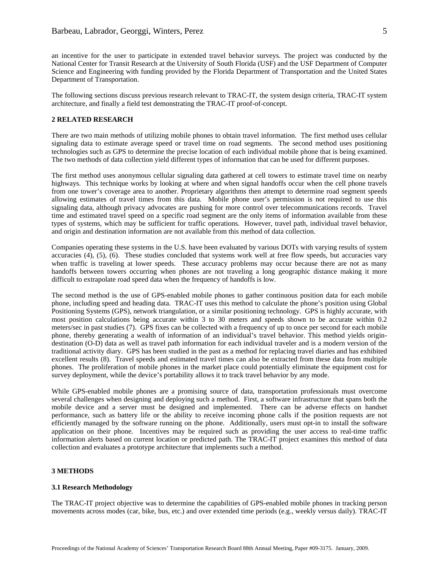an incentive for the user to participate in extended travel behavior surveys. The project was conducted by the National Center for Transit Research at the University of South Florida (USF) and the USF Department of Computer Science and Engineering with funding provided by the Florida Department of Transportation and the United States Department of Transportation.

The following sections discuss previous research relevant to TRAC-IT, the system design criteria, TRAC-IT system architecture, and finally a field test demonstrating the TRAC-IT proof-of-concept.

#### **2 RELATED RESEARCH**

There are two main methods of utilizing mobile phones to obtain travel information. The first method uses cellular signaling data to estimate average speed or travel time on road segments. The second method uses positioning technologies such as GPS to determine the precise location of each individual mobile phone that is being examined. The two methods of data collection yield different types of information that can be used for different purposes.

The first method uses anonymous cellular signaling data gathered at cell towers to estimate travel time on nearby highways. This technique works by looking at where and when signal handoffs occur when the cell phone travels from one tower's coverage area to another. Proprietary algorithms then attempt to determine road segment speeds allowing estimates of travel times from this data. Mobile phone user's permission is not required to use this signaling data, although privacy advocates are pushing for more control over telecommunications records. Travel time and estimated travel speed on a specific road segment are the only items of information available from these types of systems, which may be sufficient for traffic operations. However, travel path, individual travel behavior, and origin and destination information are not available from this method of data collection.

Companies operating these systems in the U.S. have been evaluated by various DOTs with varying results of system accuracies (4), (5), (6). These studies concluded that systems work well at free flow speeds, but accuracies vary when traffic is traveling at lower speeds. These accuracy problems may occur because there are not as many handoffs between towers occurring when phones are not traveling a long geographic distance making it more difficult to extrapolate road speed data when the frequency of handoffs is low.

The second method is the use of GPS-enabled mobile phones to gather continuous position data for each mobile phone, including speed and heading data. TRAC-IT uses this method to calculate the phone's position using Global Positioning Systems (GPS), network triangulation, or a similar positioning technology. GPS is highly accurate, with most position calculations being accurate within 3 to 30 meters and speeds shown to be accurate within 0.2 meters/sec in past studies (7). GPS fixes can be collected with a frequency of up to once per second for each mobile phone, thereby generating a wealth of information of an individual's travel behavior. This method yields origindestination (O-D) data as well as travel path information for each individual traveler and is a modern version of the traditional activity diary. GPS has been studied in the past as a method for replacing travel diaries and has exhibited excellent results (8). Travel speeds and estimated travel times can also be extracted from these data from multiple phones. The proliferation of mobile phones in the market place could potentially eliminate the equipment cost for survey deployment, while the device's portability allows it to track travel behavior by any mode.

While GPS-enabled mobile phones are a promising source of data, transportation professionals must overcome several challenges when designing and deploying such a method. First, a software infrastructure that spans both the mobile device and a server must be designed and implemented. There can be adverse effects on handset performance, such as battery life or the ability to receive incoming phone calls if the position requests are not efficiently managed by the software running on the phone. Additionally, users must opt-in to install the software application on their phone. Incentives may be required such as providing the user access to real-time traffic information alerts based on current location or predicted path. The TRAC-IT project examines this method of data collection and evaluates a prototype architecture that implements such a method.

#### **3 METHODS**

## **3.1 Research Methodology**

The TRAC-IT project objective was to determine the capabilities of GPS-enabled mobile phones in tracking person movements across modes (car, bike, bus, etc.) and over extended time periods (e.g., weekly versus daily). TRAC-IT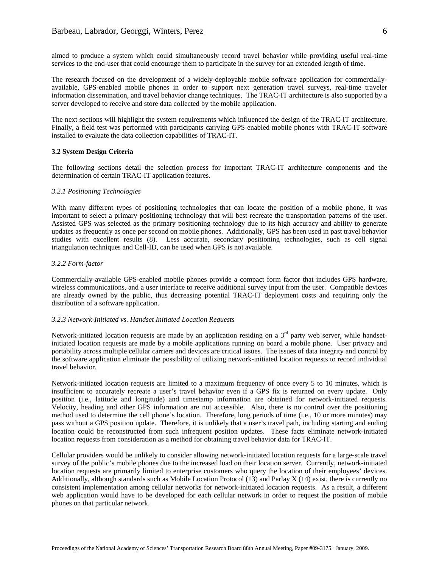aimed to produce a system which could simultaneously record travel behavior while providing useful real-time services to the end-user that could encourage them to participate in the survey for an extended length of time.

The research focused on the development of a widely-deployable mobile software application for commerciallyavailable, GPS-enabled mobile phones in order to support next generation travel surveys, real-time traveler information dissemination, and travel behavior change techniques. The TRAC-IT architecture is also supported by a server developed to receive and store data collected by the mobile application.

The next sections will highlight the system requirements which influenced the design of the TRAC-IT architecture. Finally, a field test was performed with participants carrying GPS-enabled mobile phones with TRAC-IT software installed to evaluate the data collection capabilities of TRAC-IT.

#### **3.2 System Design Criteria**

The following sections detail the selection process for important TRAC-IT architecture components and the determination of certain TRAC-IT application features.

#### *3.2.1 Positioning Technologies*

With many different types of positioning technologies that can locate the position of a mobile phone, it was important to select a primary positioning technology that will best recreate the transportation patterns of the user. Assisted GPS was selected as the primary positioning technology due to its high accuracy and ability to generate updates as frequently as once per second on mobile phones. Additionally, GPS has been used in past travel behavior studies with excellent results (8). Less accurate, secondary positioning technologies, such as cell signal triangulation techniques and Cell-ID, can be used when GPS is not available.

#### *3.2.2 Form-factor*

Commercially-available GPS-enabled mobile phones provide a compact form factor that includes GPS hardware, wireless communications, and a user interface to receive additional survey input from the user. Compatible devices are already owned by the public, thus decreasing potential TRAC-IT deployment costs and requiring only the distribution of a software application.

#### *3.2.3 Network-Initiated vs. Handset Initiated Location Requests*

Network-initiated location requests are made by an application residing on a  $3<sup>rd</sup>$  party web server, while handsetinitiated location requests are made by a mobile applications running on board a mobile phone. User privacy and portability across multiple cellular carriers and devices are critical issues. The issues of data integrity and control by the software application eliminate the possibility of utilizing network-initiated location requests to record individual travel behavior.

Network-initiated location requests are limited to a maximum frequency of once every 5 to 10 minutes, which is insufficient to accurately recreate a user's travel behavior even if a GPS fix is returned on every update. Only position (i.e., latitude and longitude) and timestamp information are obtained for network-initiated requests. Velocity, heading and other GPS information are not accessible. Also, there is no control over the positioning method used to determine the cell phone's location. Therefore, long periods of time (i.e., 10 or more minutes) may pass without a GPS position update. Therefore, it is unlikely that a user's travel path, including starting and ending location could be reconstructed from such infrequent position updates. These facts eliminate network-initiated location requests from consideration as a method for obtaining travel behavior data for TRAC-IT.

Cellular providers would be unlikely to consider allowing network-initiated location requests for a large-scale travel survey of the public's mobile phones due to the increased load on their location server. Currently, network-initiated location requests are primarily limited to enterprise customers who query the location of their employees' devices. Additionally, although standards such as Mobile Location Protocol (13) and Parlay X (14) exist, there is currently no consistent implementation among cellular networks for network-initiated location requests. As a result, a different web application would have to be developed for each cellular network in order to request the position of mobile phones on that particular network.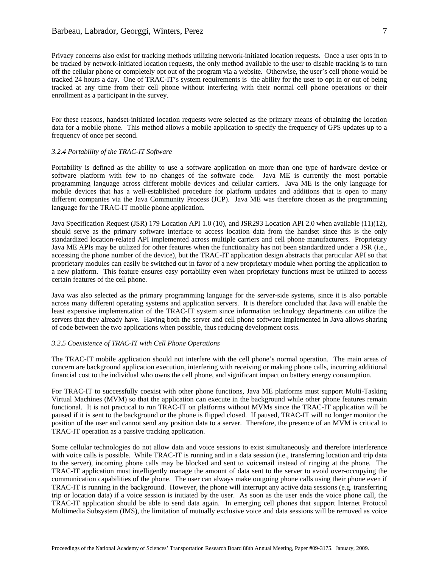# Barbeau, Labrador, Georggi, Winters, Perez

Privacy concerns also exist for tracking methods utilizing network-initiated location requests. Once a user opts in to be tracked by network-initiated location requests, the only method available to the user to disable tracking is to turn off the cellular phone or completely opt out of the program via a website. Otherwise, the user's cell phone would be tracked 24 hours a day. One of TRAC-IT's system requirements is the ability for the user to opt in or out of being tracked at any time from their cell phone without interfering with their normal cell phone operations or their enrollment as a participant in the survey.

For these reasons, handset-initiated location requests were selected as the primary means of obtaining the location data for a mobile phone. This method allows a mobile application to specify the frequency of GPS updates up to a frequency of once per second.

#### *3.2.4 Portability of the TRAC-IT Software*

Portability is defined as the ability to use a software application on more than one type of hardware device or software platform with few to no changes of the software code. Java ME is currently the most portable programming language across different mobile devices and cellular carriers. Java ME is the only language for mobile devices that has a well-established procedure for platform updates and additions that is open to many different companies via the Java Community Process (JCP). Java ME was therefore chosen as the programming language for the TRAC-IT mobile phone application.

Java Specification Request (JSR) 179 Location API 1.0 (10), and JSR293 Location API 2.0 when available (11)(12), should serve as the primary software interface to access location data from the handset since this is the only standardized location-related API implemented across multiple carriers and cell phone manufacturers. Proprietary Java ME APIs may be utilized for other features when the functionality has not been standardized under a JSR (i.e., accessing the phone number of the device), but the TRAC-IT application design abstracts that particular API so that proprietary modules can easily be switched out in favor of a new proprietary module when porting the application to a new platform. This feature ensures easy portability even when proprietary functions must be utilized to access certain features of the cell phone.

Java was also selected as the primary programming language for the server-side systems, since it is also portable across many different operating systems and application servers. It is therefore concluded that Java will enable the least expensive implementation of the TRAC-IT system since information technology departments can utilize the servers that they already have. Having both the server and cell phone software implemented in Java allows sharing of code between the two applications when possible, thus reducing development costs.

#### *3.2.5 Coexistence of TRAC-IT with Cell Phone Operations*

The TRAC-IT mobile application should not interfere with the cell phone's normal operation. The main areas of concern are background application execution, interfering with receiving or making phone calls, incurring additional financial cost to the individual who owns the cell phone, and significant impact on battery energy consumption.

For TRAC-IT to successfully coexist with other phone functions, Java ME platforms must support Multi-Tasking Virtual Machines (MVM) so that the application can execute in the background while other phone features remain functional. It is not practical to run TRAC-IT on platforms without MVMs since the TRAC-IT application will be paused if it is sent to the background or the phone is flipped closed. If paused, TRAC-IT will no longer monitor the position of the user and cannot send any position data to a server. Therefore, the presence of an MVM is critical to TRAC-IT operation as a passive tracking application.

Some cellular technologies do not allow data and voice sessions to exist simultaneously and therefore interference with voice calls is possible. While TRAC-IT is running and in a data session (i.e., transferring location and trip data to the server), incoming phone calls may be blocked and sent to voicemail instead of ringing at the phone. The TRAC-IT application must intelligently manage the amount of data sent to the server to avoid over-occupying the communication capabilities of the phone. The user can always make outgoing phone calls using their phone even if TRAC-IT is running in the background. However, the phone will interrupt any active data sessions (e.g. transferring trip or location data) if a voice session is initiated by the user. As soon as the user ends the voice phone call, the TRAC-IT application should be able to send data again. In emerging cell phones that support Internet Protocol Multimedia Subsystem (IMS), the limitation of mutually exclusive voice and data sessions will be removed as voice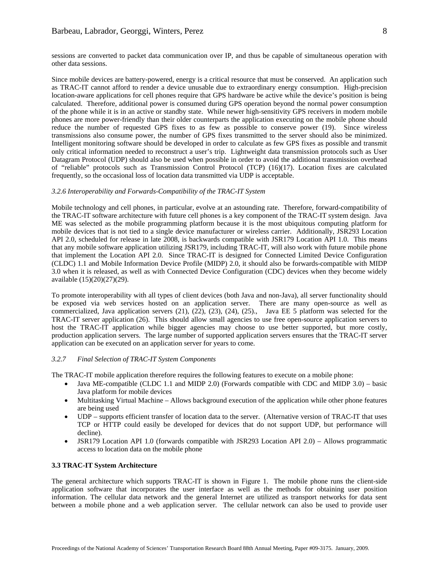sessions are converted to packet data communication over IP, and thus be capable of simultaneous operation with other data sessions.

Since mobile devices are battery-powered, energy is a critical resource that must be conserved. An application such as TRAC-IT cannot afford to render a device unusable due to extraordinary energy consumption. High-precision location-aware applications for cell phones require that GPS hardware be active while the device's position is being calculated. Therefore, additional power is consumed during GPS operation beyond the normal power consumption of the phone while it is in an active or standby state. While newer high-sensitivity GPS receivers in modern mobile phones are more power-friendly than their older counterparts the application executing on the mobile phone should reduce the number of requested GPS fixes to as few as possible to conserve power (19). Since wireless transmissions also consume power, the number of GPS fixes transmitted to the server should also be minimized. Intelligent monitoring software should be developed in order to calculate as few GPS fixes as possible and transmit only critical information needed to reconstruct a user's trip. Lightweight data transmission protocols such as User Datagram Protocol (UDP) should also be used when possible in order to avoid the additional transmission overhead of "reliable" protocols such as Transmission Control Protocol (TCP) (16)(17). Location fixes are calculated frequently, so the occasional loss of location data transmitted via UDP is acceptable.

#### *3.2.6 Interoperability and Forwards-Compatibility of the TRAC-IT System*

Mobile technology and cell phones, in particular, evolve at an astounding rate. Therefore, forward-compatibility of the TRAC-IT software architecture with future cell phones is a key component of the TRAC-IT system design. Java ME was selected as the mobile programming platform because it is the most ubiquitous computing platform for mobile devices that is not tied to a single device manufacturer or wireless carrier. Additionally, JSR293 Location API 2.0, scheduled for release in late 2008, is backwards compatible with JSR179 Location API 1.0. This means that any mobile software application utilizing JSR179, including TRAC-IT, will also work with future mobile phone that implement the Location API 2.0. Since TRAC-IT is designed for Connected Limited Device Configuration (CLDC) 1.1 and Mobile Information Device Profile (MIDP) 2.0, it should also be forwards-compatible with MIDP 3.0 when it is released, as well as with Connected Device Configuration (CDC) devices when they become widely available (15)(20)(27)(29).

To promote interoperability with all types of client devices (both Java and non-Java), all server functionality should be exposed via web services hosted on an application server. There are many open-source as well as commercialized, Java application servers (21), (22), (23), (24), (25)., Java EE 5 platform was selected for the TRAC-IT server application (26). This should allow small agencies to use free open-source application servers to host the TRAC-IT application while bigger agencies may choose to use better supported, but more costly, production application servers. The large number of supported application servers ensures that the TRAC-IT server application can be executed on an application server for years to come.

## *3.2.7 Final Selection of TRAC-IT System Components*

The TRAC-IT mobile application therefore requires the following features to execute on a mobile phone:

- Java ME-compatible (CLDC 1.1 and MIDP 2.0) (Forwards compatible with CDC and MIDP 3.0) basic Java platform for mobile devices
- Multitasking Virtual Machine Allows background execution of the application while other phone features are being used
- UDP supports efficient transfer of location data to the server. (Alternative version of TRAC-IT that uses TCP or HTTP could easily be developed for devices that do not support UDP, but performance will decline).
- JSR179 Location API 1.0 (forwards compatible with JSR293 Location API 2.0) Allows programmatic access to location data on the mobile phone

## **3.3 TRAC-IT System Architecture**

The general architecture which supports TRAC-IT is shown in Figure 1. The mobile phone runs the client-side application software that incorporates the user interface as well as the methods for obtaining user position information. The cellular data network and the general Internet are utilized as transport networks for data sent between a mobile phone and a web application server. The cellular network can also be used to provide user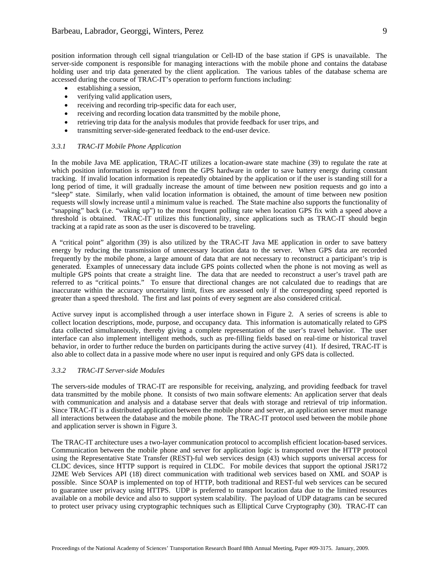position information through cell signal triangulation or Cell-ID of the base station if GPS is unavailable. The server-side component is responsible for managing interactions with the mobile phone and contains the database holding user and trip data generated by the client application. The various tables of the database schema are accessed during the course of TRAC-IT's operation to perform functions including:

- establishing a session,
- verifying valid application users,
- receiving and recording trip-specific data for each user,
- receiving and recording location data transmitted by the mobile phone,
- retrieving trip data for the analysis modules that provide feedback for user trips, and
- transmitting server-side-generated feedback to the end-user device.

# *3.3.1 TRAC-IT Mobile Phone Application*

In the mobile Java ME application, TRAC-IT utilizes a location-aware state machine (39) to regulate the rate at which position information is requested from the GPS hardware in order to save battery energy during constant tracking. If invalid location information is repeatedly obtained by the application or if the user is standing still for a long period of time, it will gradually increase the amount of time between new position requests and go into a "sleep" state. Similarly, when valid location information is obtained, the amount of time between new position requests will slowly increase until a minimum value is reached. The State machine also supports the functionality of "snapping" back (i.e. "waking up") to the most frequent polling rate when location GPS fix with a speed above a threshold is obtained. TRAC-IT utilizes this functionality, since applications such as TRAC-IT should begin tracking at a rapid rate as soon as the user is discovered to be traveling.

A "critical point" algorithm (39) is also utilized by the TRAC-IT Java ME application in order to save battery energy by reducing the transmission of unnecessary location data to the server. When GPS data are recorded frequently by the mobile phone, a large amount of data that are not necessary to reconstruct a participant's trip is generated. Examples of unnecessary data include GPS points collected when the phone is not moving as well as multiple GPS points that create a straight line. The data that are needed to reconstruct a user's travel path are referred to as "critical points." To ensure that directional changes are not calculated due to readings that are inaccurate within the accuracy uncertainty limit, fixes are assessed only if the corresponding speed reported is greater than a speed threshold. The first and last points of every segment are also considered critical.

Active survey input is accomplished through a user interface shown in Figure 2. A series of screens is able to collect location descriptions, mode, purpose, and occupancy data. This information is automatically related to GPS data collected simultaneously, thereby giving a complete representation of the user's travel behavior. The user interface can also implement intelligent methods, such as pre-filling fields based on real-time or historical travel behavior, in order to further reduce the burden on participants during the active survey (41). If desired, TRAC-IT is also able to collect data in a passive mode where no user input is required and only GPS data is collected.

## *3.3.2 TRAC-IT Server-side Modules*

The servers-side modules of TRAC-IT are responsible for receiving, analyzing, and providing feedback for travel data transmitted by the mobile phone. It consists of two main software elements: An application server that deals with communication and analysis and a database server that deals with storage and retrieval of trip information. Since TRAC-IT is a distributed application between the mobile phone and server, an application server must manage all interactions between the database and the mobile phone. The TRAC-IT protocol used between the mobile phone and application server is shown in Figure 3.

The TRAC-IT architecture uses a two-layer communication protocol to accomplish efficient location-based services. Communication between the mobile phone and server for application logic is transported over the HTTP protocol using the Representative State Transfer (REST)-ful web services design (43) which supports universal access for CLDC devices, since HTTP support is required in CLDC. For mobile devices that support the optional JSR172 J2ME Web Services API (18) direct communication with traditional web services based on XML and SOAP is possible. Since SOAP is implemented on top of HTTP, both traditional and REST-ful web services can be secured to guarantee user privacy using HTTPS. UDP is preferred to transport location data due to the limited resources available on a mobile device and also to support system scalability. The payload of UDP datagrams can be secured to protect user privacy using cryptographic techniques such as Elliptical Curve Cryptography (30). TRAC-IT can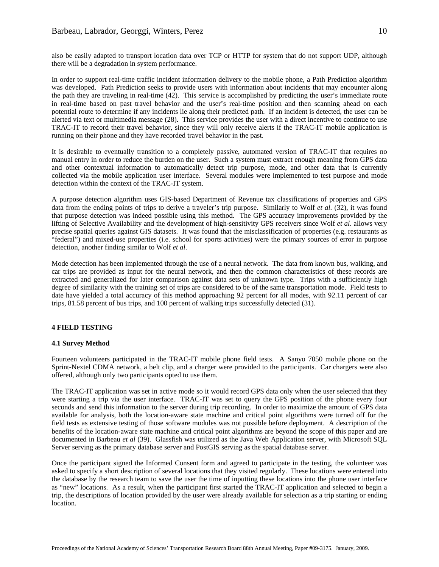also be easily adapted to transport location data over TCP or HTTP for system that do not support UDP, although there will be a degradation in system performance.

In order to support real-time traffic incident information delivery to the mobile phone, a Path Prediction algorithm was developed. Path Prediction seeks to provide users with information about incidents that may encounter along the path they are traveling in real-time (42). This service is accomplished by predicting the user's immediate route in real-time based on past travel behavior and the user's real-time position and then scanning ahead on each potential route to determine if any incidents lie along their predicted path. If an incident is detected, the user can be alerted via text or multimedia message (28). This service provides the user with a direct incentive to continue to use TRAC-IT to record their travel behavior, since they will only receive alerts if the TRAC-IT mobile application is running on their phone and they have recorded travel behavior in the past.

It is desirable to eventually transition to a completely passive, automated version of TRAC-IT that requires no manual entry in order to reduce the burden on the user. Such a system must extract enough meaning from GPS data and other contextual information to automatically detect trip purpose, mode, and other data that is currently collected via the mobile application user interface. Several modules were implemented to test purpose and mode detection within the context of the TRAC-IT system.

A purpose detection algorithm uses GIS-based Department of Revenue tax classifications of properties and GPS data from the ending points of trips to derive a traveler's trip purpose. Similarly to Wolf *et al*. (32), it was found that purpose detection was indeed possible using this method. The GPS accuracy improvements provided by the lifting of Selective Availability and the development of high-sensitivity GPS receivers since Wolf *et al*. allows very precise spatial queries against GIS datasets. It was found that the misclassification of properties (e.g. restaurants as "federal") and mixed-use properties (i.e. school for sports activities) were the primary sources of error in purpose detection, another finding similar to Wolf *et al*.

Mode detection has been implemented through the use of a neural network. The data from known bus, walking, and car trips are provided as input for the neural network, and then the common characteristics of these records are extracted and generalized for later comparison against data sets of unknown type. Trips with a sufficiently high degree of similarity with the training set of trips are considered to be of the same transportation mode. Field tests to date have yielded a total accuracy of this method approaching 92 percent for all modes, with 92.11 percent of car trips, 81.58 percent of bus trips, and 100 percent of walking trips successfully detected (31).

# **4 FIELD TESTING**

## **4.1 Survey Method**

Fourteen volunteers participated in the TRAC-IT mobile phone field tests. A Sanyo 7050 mobile phone on the Sprint-Nextel CDMA network, a belt clip, and a charger were provided to the participants. Car chargers were also offered, although only two participants opted to use them.

The TRAC-IT application was set in active mode so it would record GPS data only when the user selected that they were starting a trip via the user interface. TRAC-IT was set to query the GPS position of the phone every four seconds and send this information to the server during trip recording. In order to maximize the amount of GPS data available for analysis, both the location-aware state machine and critical point algorithms were turned off for the field tests as extensive testing of those software modules was not possible before deployment. A description of the benefits of the location-aware state machine and critical point algorithms are beyond the scope of this paper and are documented in Barbeau *et al* (39). Glassfish was utilized as the Java Web Application server, with Microsoft SQL Server serving as the primary database server and PostGIS serving as the spatial database server.

Once the participant signed the Informed Consent form and agreed to participate in the testing, the volunteer was asked to specify a short description of several locations that they visited regularly. These locations were entered into the database by the research team to save the user the time of inputting these locations into the phone user interface as "new" locations. As a result, when the participant first started the TRAC-IT application and selected to begin a trip, the descriptions of location provided by the user were already available for selection as a trip starting or ending location.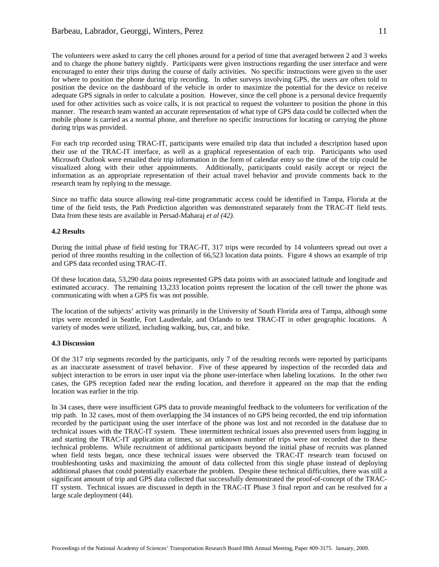The volunteers were asked to carry the cell phones around for a period of time that averaged between 2 and 3 weeks and to charge the phone battery nightly. Participants were given instructions regarding the user interface and were encouraged to enter their trips during the course of daily activities. No specific instructions were given to the user for where to position the phone during trip recording. In other surveys involving GPS, the users are often told to position the device on the dashboard of the vehicle in order to maximize the potential for the device to receive adequate GPS signals in order to calculate a position. However, since the cell phone is a personal device frequently used for other activities such as voice calls, it is not practical to request the volunteer to position the phone in this manner. The research team wanted an accurate representation of what type of GPS data could be collected when the mobile phone is carried as a normal phone, and therefore no specific instructions for locating or carrying the phone during trips was provided.

For each trip recorded using TRAC-IT, participants were emailed trip data that included a description based upon their use of the TRAC-IT interface, as well as a graphical representation of each trip. Participants who used Microsoft Outlook were emailed their trip information in the form of calendar entry so the time of the trip could be visualized along with their other appointments. Additionally, participants could easily accept or reject the information as an appropriate representation of their actual travel behavior and provide comments back to the research team by replying to the message.

Since no traffic data source allowing real-time programmatic access could be identified in Tampa, Florida at the time of the field tests, the Path Prediction algorithm was demonstrated separately from the TRAC-IT field tests. Data from these tests are available in Persad-Maharaj *et al (42)*.

## **4.2 Results**

During the initial phase of field testing for TRAC-IT, 317 trips were recorded by 14 volunteers spread out over a period of three months resulting in the collection of 66,523 location data points. Figure 4 shows an example of trip and GPS data recorded using TRAC-IT.

Of these location data, 53,290 data points represented GPS data points with an associated latitude and longitude and estimated accuracy. The remaining 13,233 location points represent the location of the cell tower the phone was communicating with when a GPS fix was not possible.

The location of the subjects' activity was primarily in the University of South Florida area of Tampa, although some trips were recorded in Seattle, Fort Lauderdale, and Orlando to test TRAC-IT in other geographic locations. A variety of modes were utilized, including walking, bus, car, and bike.

## **4.3 Discussion**

Of the 317 trip segments recorded by the participants, only 7 of the resulting records were reported by participants as an inaccurate assessment of travel behavior. Five of these appeared by inspection of the recorded data and subject interaction to be errors in user input via the phone user-interface when labeling locations. In the other two cases, the GPS reception faded near the ending location, and therefore it appeared on the map that the ending location was earlier in the trip.

In 34 cases, there were insufficient GPS data to provide meaningful feedback to the volunteers for verification of the trip path. In 32 cases, most of them overlapping the 34 instances of no GPS being recorded, the end trip information recorded by the participant using the user interface of the phone was lost and not recorded in the database due to technical issues with the TRAC-IT system. These intermittent technical issues also prevented users from logging in and starting the TRAC-IT application at times, so an unknown number of trips were not recorded due to these technical problems. While recruitment of additional participants beyond the initial phase of recruits was planned when field tests began, once these technical issues were observed the TRAC-IT research team focused on troubleshooting tasks and maximizing the amount of data collected from this single phase instead of deploying additional phases that could potentially exacerbate the problem. Despite these technical difficulties, there was still a significant amount of trip and GPS data collected that successfully demonstrated the proof-of-concept of the TRAC-IT system. Technical issues are discussed in depth in the TRAC-IT Phase 3 final report and can be resolved for a large scale deployment (44).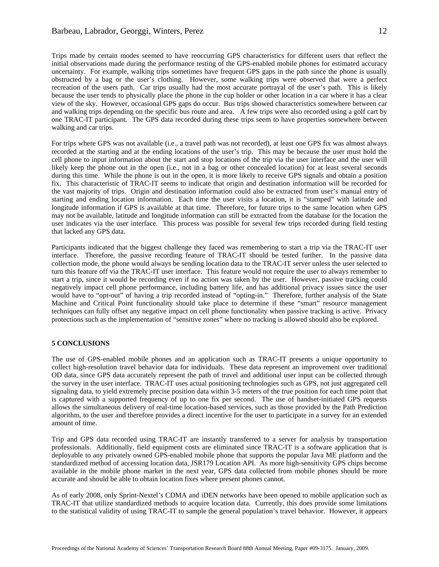Trips made by certain modes seemed to have reoccurring GPS characteristics for different users that reflect the initial observations made during the performance testing of the GPS-enabled mobile phones for estimated accuracy uncertainty. For example, walking trips sometimes have frequent GPS gaps in the path since the phone is usually obstructed by a bag or the user's clothing. However, some walking trips were observed that were a perfect recreation of the users path. Car trips usually had the most accurate portrayal of the user's path. This is likely because the user tends to physically place the phone in the cup holder or other location in a car where it has a clear view of the sky. However, occasional GPS gaps do occur. Bus trips showed characteristics somewhere between car and walking trips depending on the specific bus route and area. A few trips were also recorded using a golf cart by one TRAC-IT participant. The GPS data recorded during these trips seem to have properties somewhere between walking and car trips.

For trips where GPS was not available (i.e., a travel path was not recorded), at least one GPS fix was almost always recorded at the starting and at the ending locations of the user's trip. This may be because the user must hold the cell phone to input information about the start and stop locations of the trip via the user interface and the user will likely keep the phone out in the open (i.e., not in a bag or other concealed location) for at least several seconds during this time. While the phone is out in the open, it is more likely to receive GPS signals and obtain a position fix. This characteristic of TRAC-IT seems to indicate that origin and destination information will be recorded for the vast majority of trips. Origin and destination information could also be extracted from user's manual entry of starting and ending location information. Each time the user visits a location, it is "stamped" with latitude and longitude information if GPS is available at that time. Therefore, for future trips to the same location when GPS may not be available, latitude and longitude information can still be extracted from the database for the location the user indicates via the user interface. This process was possible for several few trips recorded during field testing that lacked any GPS data.

Participants indicated that the biggest challenge they faced was remembering to start a trip via the TRAC-IT user interface. Therefore, the passive recording feature of TRAC-IT should be tested further. In the passive data collection mode, the phone would always be sending location data to the TRAC-IT server unless the user selected to turn this feature off via the TRAC-IT user interface. This feature would not require the user to always remember to start a trip, since it would be recording even if no action was taken by the user. However, passive tracking could negatively impact cell phone performance, including battery life, and has additional privacy issues since the user would have to "opt-out" of having a trip recorded instead of "opting-in." Therefore, further analysis of the State Machine and Critical Point functionality should take place to determine if these "smart" resource management techniques can fully offset any negative impact on cell phone functionality when passive tracking is active. Privacy protections such as the implementation of "sensitive zones" where no tracking is allowed should also be explored.

## **5 CONCLUSIONS**

The use of GPS-enabled mobile phones and an application such as TRAC-IT presents a unique opportunity to collect high-resolution travel behavior data for individuals. These data represent an improvement over traditional OD data, since GPS data accurately represent the path of travel and additional user input can be collected through the survey in the user interface. TRAC-IT uses actual positioning technologies such as GPS, not just aggregated cell signaling data, to yield extremely precise position data within 3-5 meters of the true position for each time point that is captured with a supported frequency of up to one fix per second. The use of handset-initiated GPS requests allows the simultaneous delivery of real-time location-based services, such as those provided by the Path Prediction algorithm, to the user and therefore provides a direct incentive for the user to participate in a survey for an extended amount of time.

Trip and GPS data recorded using TRAC-IT are instantly transferred to a server for analysis by transportation professionals. Additionally, field equipment costs are eliminated since TRAC-IT is a software application that is deployable to any privately owned GPS-enabled mobile phone that supports the popular Java ME platform and the standardized method of accessing location data, JSR179 Location API. As more high-sensitivity GPS chips become available in the mobile phone market in the next year, GPS data collected from mobile phones should be more accurate and should be able to obtain location fixes where present phones cannot.

As of early 2008, only Sprint-Nextel's CDMA and iDEN networks have been opened to mobile application such as TRAC-IT that utilize standardized methods to acquire location data. Currently, this does provide some limitations to the statistical validity of using TRAC-IT to sample the general population's travel behavior. However, it appears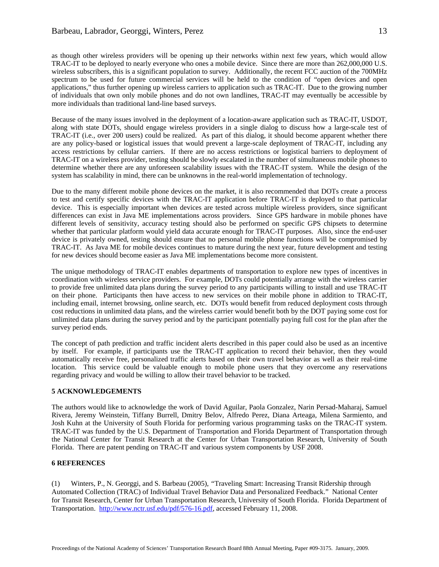as though other wireless providers will be opening up their networks within next few years, which would allow TRAC-IT to be deployed to nearly everyone who ones a mobile device. Since there are more than 262,000,000 U.S. wireless subscribers, this is a significant population to survey. Additionally, the recent FCC auction of the 700MHz spectrum to be used for future commercial services will be held to the condition of "open devices and open applications," thus further opening up wireless carriers to application such as TRAC-IT. Due to the growing number of individuals that own only mobile phones and do not own landlines, TRAC-IT may eventually be accessible by more individuals than traditional land-line based surveys.

Because of the many issues involved in the deployment of a location-aware application such as TRAC-IT, USDOT, along with state DOTs, should engage wireless providers in a single dialog to discuss how a large-scale test of TRAC-IT (i.e., over 200 users) could be realized. As part of this dialog, it should become apparent whether there are any policy-based or logistical issues that would prevent a large-scale deployment of TRAC-IT, including any access restrictions by cellular carriers. If there are no access restrictions or logistical barriers to deployment of TRAC-IT on a wireless provider, testing should be slowly escalated in the number of simultaneous mobile phones to determine whether there are any unforeseen scalability issues with the TRAC-IT system. While the design of the system has scalability in mind, there can be unknowns in the real-world implementation of technology.

Due to the many different mobile phone devices on the market, it is also recommended that DOTs create a process to test and certify specific devices with the TRAC-IT application before TRAC-IT is deployed to that particular device. This is especially important when devices are tested across multiple wireless providers, since significant differences can exist in Java ME implementations across providers. Since GPS hardware in mobile phones have different levels of sensitivity, accuracy testing should also be performed on specific GPS chipsets to determine whether that particular platform would yield data accurate enough for TRAC-IT purposes. Also, since the end-user device is privately owned, testing should ensure that no personal mobile phone functions will be compromised by TRAC-IT. As Java ME for mobile devices continues to mature during the next year, future development and testing for new devices should become easier as Java ME implementations become more consistent.

The unique methodology of TRAC-IT enables departments of transportation to explore new types of incentives in coordination with wireless service providers. For example, DOTs could potentially arrange with the wireless carrier to provide free unlimited data plans during the survey period to any participants willing to install and use TRAC-IT on their phone. Participants then have access to new services on their mobile phone in addition to TRAC-IT, including email, internet browsing, online search, etc. DOTs would benefit from reduced deployment costs through cost reductions in unlimited data plans, and the wireless carrier would benefit both by the DOT paying some cost for unlimited data plans during the survey period and by the participant potentially paying full cost for the plan after the survey period ends.

The concept of path prediction and traffic incident alerts described in this paper could also be used as an incentive by itself. For example, if participants use the TRAC-IT application to record their behavior, then they would automatically receive free, personalized traffic alerts based on their own travel behavior as well as their real-time location. This service could be valuable enough to mobile phone users that they overcome any reservations regarding privacy and would be willing to allow their travel behavior to be tracked.

## **5 ACKNOWLEDGEMENTS**

The authors would like to acknowledge the work of David Aguilar, Paola Gonzalez, Narin Persad-Maharaj, Samuel Rivera, Jeremy Weinstein, Tiffany Burrell, Dmitry Belov, Alfredo Perez, Diana Arteaga, Milena Sarmiento, and Josh Kuhn at the University of South Florida for performing various programming tasks on the TRAC-IT system. TRAC-IT was funded by the U.S. Department of Transportation and Florida Department of Transportation through the National Center for Transit Research at the Center for Urban Transportation Research, University of South Florida. There are patent pending on TRAC-IT and various system components by USF 2008.

## **6 REFERENCES**

(1) Winters, P., N. Georggi, and S. Barbeau (2005), *"*Traveling Smart: Increasing Transit Ridership through Automated Collection (TRAC) of Individual Travel Behavior Data and Personalized Feedback." National Center for Transit Research, Center for Urban Transportation Research, University of South Florida. Florida Department of Transportation. http://www.nctr.usf.edu/pdf/576-16.pdf, accessed February 11, 2008.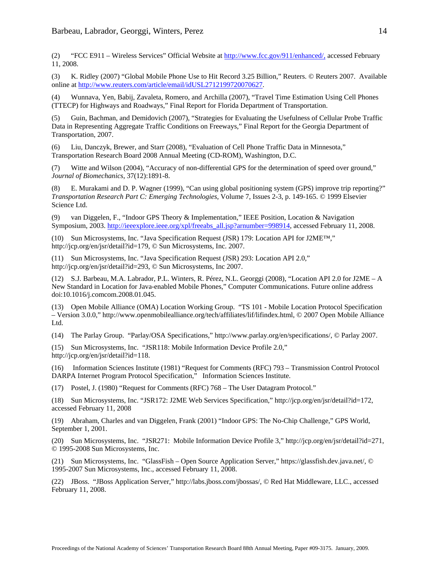(2) "FCC E911 – Wireless Services" Official Website at http://www.fcc.gov/911/enhanced/, accessed February 11, 2008.

(3) K. Ridley (2007) "Global Mobile Phone Use to Hit Record 3.25 Billion," Reuters. © Reuters 2007. Available online at http://www.reuters.com/article/email/idUSL2712199720070627.

(4) Wunnava, Yen, Babij, Zavaleta, Romero, and Archilla (2007), "Travel Time Estimation Using Cell Phones (TTECP) for Highways and Roadways," Final Report for Florida Department of Transportation.

(5) Guin, Bachman, and Demidovich (2007), "Strategies for Evaluating the Usefulness of Cellular Probe Traffic Data in Representing Aggregate Traffic Conditions on Freeways," Final Report for the Georgia Department of Transportation, 2007.

(6) Liu, Danczyk, Brewer, and Starr (2008), "Evaluation of Cell Phone Traffic Data in Minnesota," Transportation Research Board 2008 Annual Meeting (CD-ROM), Washington, D.C.

(7) Witte and Wilson (2004), "Accuracy of non-differential GPS for the determination of speed over ground," *Journal of Biomechanics*, 37(12):1891-8.

(8) E. Murakami and D. P. Wagner (1999), "Can using global positioning system (GPS) improve trip reporting?" *Transportation Research Part C: Emerging Technologies,* Volume 7, Issues 2-3, p. 149-165. © 1999 Elsevier Science Ltd.

(9) van Diggelen, F., "Indoor GPS Theory & Implementation," IEEE Position, Location & Navigation Symposium, 2003. http://ieeexplore.ieee.org/xpl/freeabs\_all.jsp?arnumber=998914, accessed February 11, 2008.

(10) Sun Microsystems, Inc. "Java Specification Request (JSR) 179: Location API for J2ME™," http://jcp.org/en/jsr/detail?id=179, © Sun Microsystems, Inc. 2007.

(11) Sun Microsystems, Inc. "Java Specification Request (JSR) 293: Location API 2.0," http://jcp.org/en/jsr/detail?id=293, © Sun Microsystems, Inc 2007.

(12) S.J. Barbeau, M.A. Labrador, P.L. Winters, R. Pérez, N.L. Georggi (2008), "Location API 2.0 for J2ME – A New Standard in Location for Java-enabled Mobile Phones," Computer Communications. Future online address doi:10.1016/j.comcom.2008.01.045.

(13) Open Mobile Alliance (OMA) Location Working Group. "TS 101 - Mobile Location Protocol Specification – Version 3.0.0," http://www.openmobilealliance.org/tech/affiliates/lif/lifindex.html, © 2007 Open Mobile Alliance Ltd.

(14) The Parlay Group. "Parlay/OSA Specifications," http://www.parlay.org/en/specifications/, © Parlay 2007.

(15) Sun Microsystems, Inc. "JSR118: Mobile Information Device Profile 2.0," http://jcp.org/en/jsr/detail?id=118.

(16) Information Sciences Institute (1981) "Request for Comments (RFC) 793 – Transmission Control Protocol DARPA Internet Program Protocol Specification," Information Sciences Institute.

(17) Postel, J. (1980) "Request for Comments (RFC) 768 – The User Datagram Protocol."

(18) Sun Microsystems, Inc. "JSR172: J2ME Web Services Specification," http://jcp.org/en/jsr/detail?id=172, accessed February 11, 2008

(19) Abraham, Charles and van Diggelen, Frank (2001) "Indoor GPS: The No-Chip Challenge," GPS World, September 1, 2001.

(20) Sun Microsystems, Inc. "JSR271: Mobile Information Device Profile 3," http://jcp.org/en/jsr/detail?id=271, © 1995-2008 Sun Microsystems, Inc.

(21) Sun Microsystems, Inc. "GlassFish – Open Source Application Server," https://glassfish.dev.java.net/, © 1995-2007 Sun Microsystems, Inc., accessed February 11, 2008.

(22) JBoss. "JBoss Application Server," http://labs.jboss.com/jbossas/, © Red Hat Middleware, LLC., accessed February 11, 2008.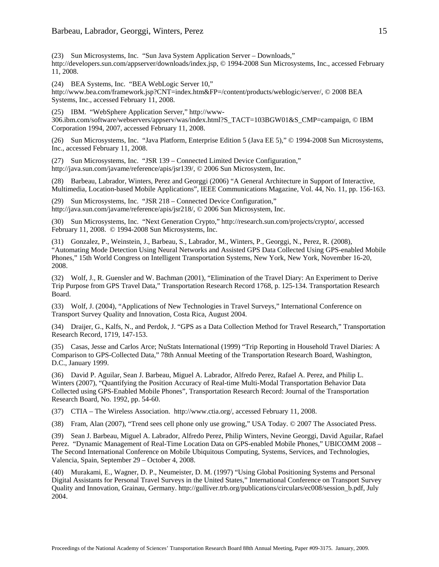(23) Sun Microsystems, Inc. "Sun Java System Application Server – Downloads," http://developers.sun.com/appserver/downloads/index.jsp, © 1994-2008 Sun Microsystems, Inc., accessed February 11, 2008.

(24) BEA Systems, Inc. "BEA WebLogic Server 10,"

http://www.bea.com/framework.jsp?CNT=index.htm&FP=/content/products/weblogic/server/, © 2008 BEA Systems, Inc., accessed February 11, 2008.

(25) IBM. "WebSphere Application Server," http://www-

306.ibm.com/software/webservers/appserv/was/index.html?S\_TACT=103BGW01&S\_CMP=campaign, © IBM Corporation 1994, 2007, accessed February 11, 2008.

(26) Sun Microsystems, Inc. "Java Platform, Enterprise Edition 5 (Java EE 5)," © 1994-2008 Sun Microsystems, Inc., accessed February 11, 2008.

(27) Sun Microsystems, Inc. "JSR 139 – Connected Limited Device Configuration," http://java.sun.com/javame/reference/apis/jsr139/, © 2006 Sun Microsystem, Inc.

(28) Barbeau, Labrador, Winters, Perez and Georggi (2006) "A General Architecture in Support of Interactive, Multimedia, Location-based Mobile Applications", IEEE Communications Magazine, Vol. 44, No. 11, pp. 156-163.

(29) Sun Microsystems, Inc. "JSR 218 – Connected Device Configuration," http://java.sun.com/javame/reference/apis/jsr218/, © 2006 Sun Microsystem, Inc.

(30) Sun Microsystems, Inc. "Next Generation Crypto," http://research.sun.com/projects/crypto/, accessed February 11, 2008. © 1994-2008 Sun Microsystems, Inc.

(31) Gonzalez, P., Weinstein, J., Barbeau, S., Labrador, M., Winters, P., Georggi, N., Perez, R. (2008), "Automating Mode Detection Using Neural Networks and Assisted GPS Data Collected Using GPS-enabled Mobile Phones," 15th World Congress on Intelligent Transportation Systems, New York, New York, November 16-20, 2008.

(32) Wolf, J., R. Guensler and W. Bachman (2001), "Elimination of the Travel Diary: An Experiment to Derive Trip Purpose from GPS Travel Data," Transportation Research Record 1768, p. 125-134. Transportation Research Board.

(33) Wolf, J. (2004), "Applications of New Technologies in Travel Surveys," International Conference on Transport Survey Quality and Innovation, Costa Rica, August 2004.

(34) Draijer, G., Kalfs, N., and Perdok, J. "GPS as a Data Collection Method for Travel Research," Transportation Research Record, 1719, 147-153.

(35) Casas, Jesse and Carlos Arce; NuStats International (1999) "Trip Reporting in Household Travel Diaries: A Comparison to GPS-Collected Data," 78th Annual Meeting of the Transportation Research Board, Washington, D.C., January 1999.

(36) David P. Aguilar, Sean J. Barbeau, Miguel A. Labrador, Alfredo Perez, Rafael A. Perez, and Philip L. Winters (2007), "Quantifying the Position Accuracy of Real-time Multi-Modal Transportation Behavior Data Collected using GPS-Enabled Mobile Phones", Transportation Research Record: Journal of the Transportation Research Board, No. 1992, pp. 54-60.

(37) CTIA – The Wireless Association. http://www.ctia.org/, accessed February 11, 2008.

(38) Fram, Alan (2007), "Trend sees cell phone only use growing," USA Today. © 2007 The Associated Press.

(39) Sean J. Barbeau, Miguel A. Labrador, Alfredo Perez, Philip Winters, Nevine Georggi, David Aguilar, Rafael Perez. "Dynamic Management of Real-Time Location Data on GPS-enabled Mobile Phones," UBICOMM 2008 – The Second International Conference on Mobile Ubiquitous Computing, Systems, Services, and Technologies, Valencia, Spain, September 29 – October 4, 2008.

(40) Murakami, E., Wagner, D. P., Neumeister, D. M. (1997) "Using Global Positioning Systems and Personal Digital Assistants for Personal Travel Surveys in the United States," International Conference on Transport Survey Quality and Innovation, Grainau, Germany. http://gulliver.trb.org/publications/circulars/ec008/session\_b.pdf, July 2004.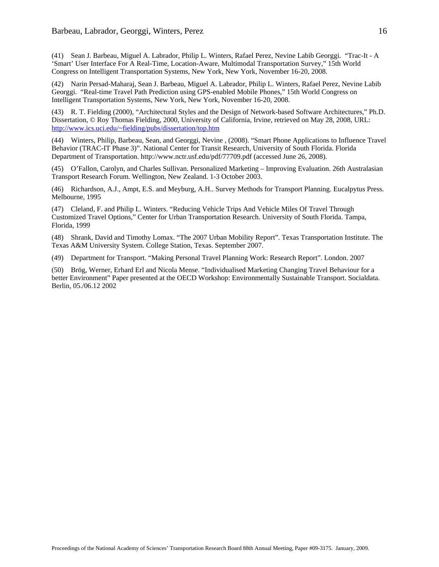(41) Sean J. Barbeau, Miguel A. Labrador, Philip L. Winters, Rafael Perez, Nevine Labib Georggi. "Trac-It - A 'Smart' User Interface For A Real-Time, Location-Aware, Multimodal Transportation Survey," 15th World Congress on Intelligent Transportation Systems, New York, New York, November 16-20, 2008.

(42) Narin Persad-Maharaj, Sean J. Barbeau, Miguel A. Labrador, Philip L. Winters, Rafael Perez, Nevine Labib Georggi. "Real-time Travel Path Prediction using GPS-enabled Mobile Phones," 15th World Congress on Intelligent Transportation Systems, New York, New York, November 16-20, 2008.

(43) R. T. Fielding (2000), "Architectural Styles and the Design of Network-based Software Architectures," Ph.D. Dissertation, © Roy Thomas Fielding, 2000, University of California, Irvine, retrieved on May 28, 2008, URL: http://www.ics.uci.edu/~fielding/pubs/dissertation/top.htm

(44) Winters, Philip, Barbeau, Sean, and Georggi, Nevine , (2008). "Smart Phone Applications to Influence Travel Behavior (TRAC-IT Phase 3)". National Center for Transit Research, University of South Florida. Florida Department of Transportation. http://www.nctr.usf.edu/pdf/77709.pdf (accessed June 26, 2008).

(45) O'Fallon, Carolyn, and Charles Sullivan. Personalized Marketing – Improving Evaluation. 26th Australasian Transport Research Forum. Wellington, New Zealand. 1-3 October 2003.

(46) Richardson, A.J., Ampt, E.S. and Meyburg, A.H.. Survey Methods for Transport Planning. Eucalpytus Press. Melbourne, 1995

(47) Cleland, F. and Philip L. Winters. "Reducing Vehicle Trips And Vehicle Miles Of Travel Through Customized Travel Options," Center for Urban Transportation Research. University of South Florida. Tampa, Florida, 1999

(48) Shrank, David and Timothy Lomax. "The 2007 Urban Mobility Report". Texas Transportation Institute. The Texas A&M University System. College Station, Texas. September 2007.

(49) Department for Transport. "Making Personal Travel Planning Work: Research Report". London. 2007

(50) Brög, Werner, Erhard Erl and Nicola Mense. "Individualised Marketing Changing Travel Behaviour for a better Environment" Paper presented at the OECD Workshop: Environmentally Sustainable Transport. Socialdata. Berlin, 05./06.12 2002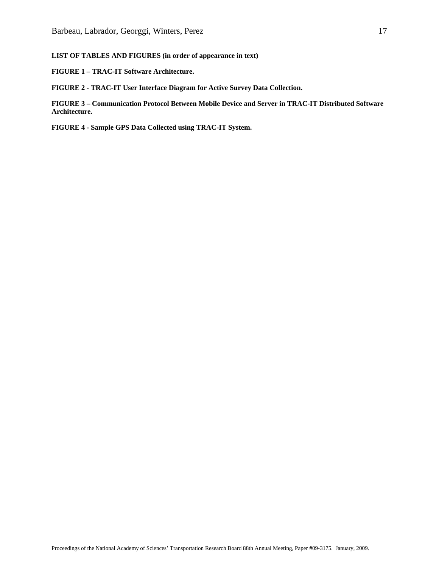# **LIST OF TABLES AND FIGURES (in order of appearance in text)**

**FIGURE 1 – TRAC-IT Software Architecture.** 

**FIGURE 2 - TRAC-IT User Interface Diagram for Active Survey Data Collection.** 

**FIGURE 3 – Communication Protocol Between Mobile Device and Server in TRAC-IT Distributed Software Architecture.** 

**FIGURE 4 - Sample GPS Data Collected using TRAC-IT System.**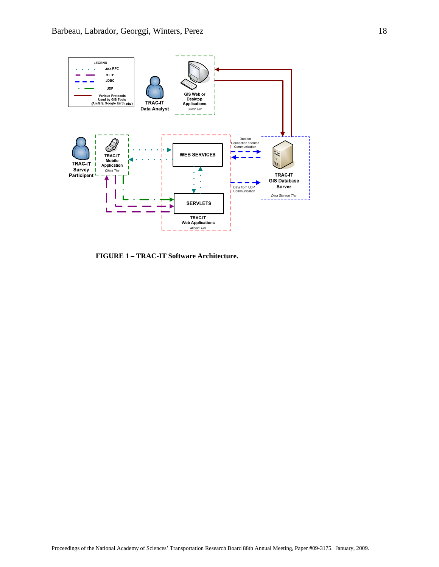

**FIGURE 1 – TRAC-IT Software Architecture.**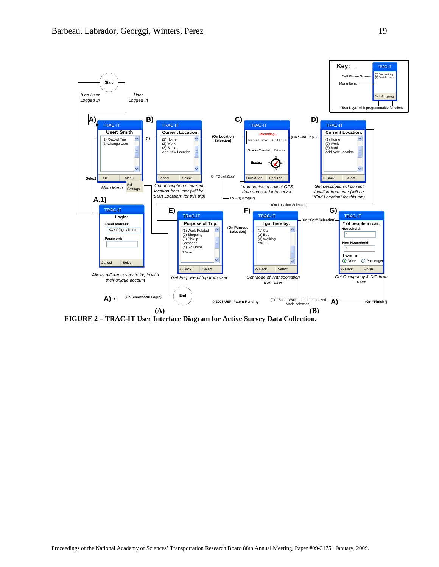

**FIGURE 2 – TRAC-IT User Interface Diagram for Active Survey Data Collection.**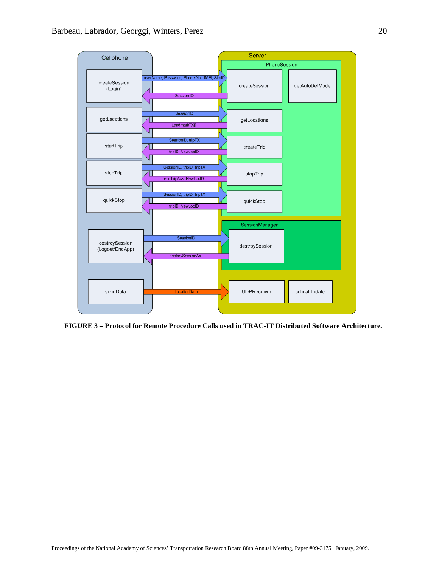

**FIGURE 3 – Protocol for Remote Procedure Calls used in TRAC-IT Distributed Software Architecture.**